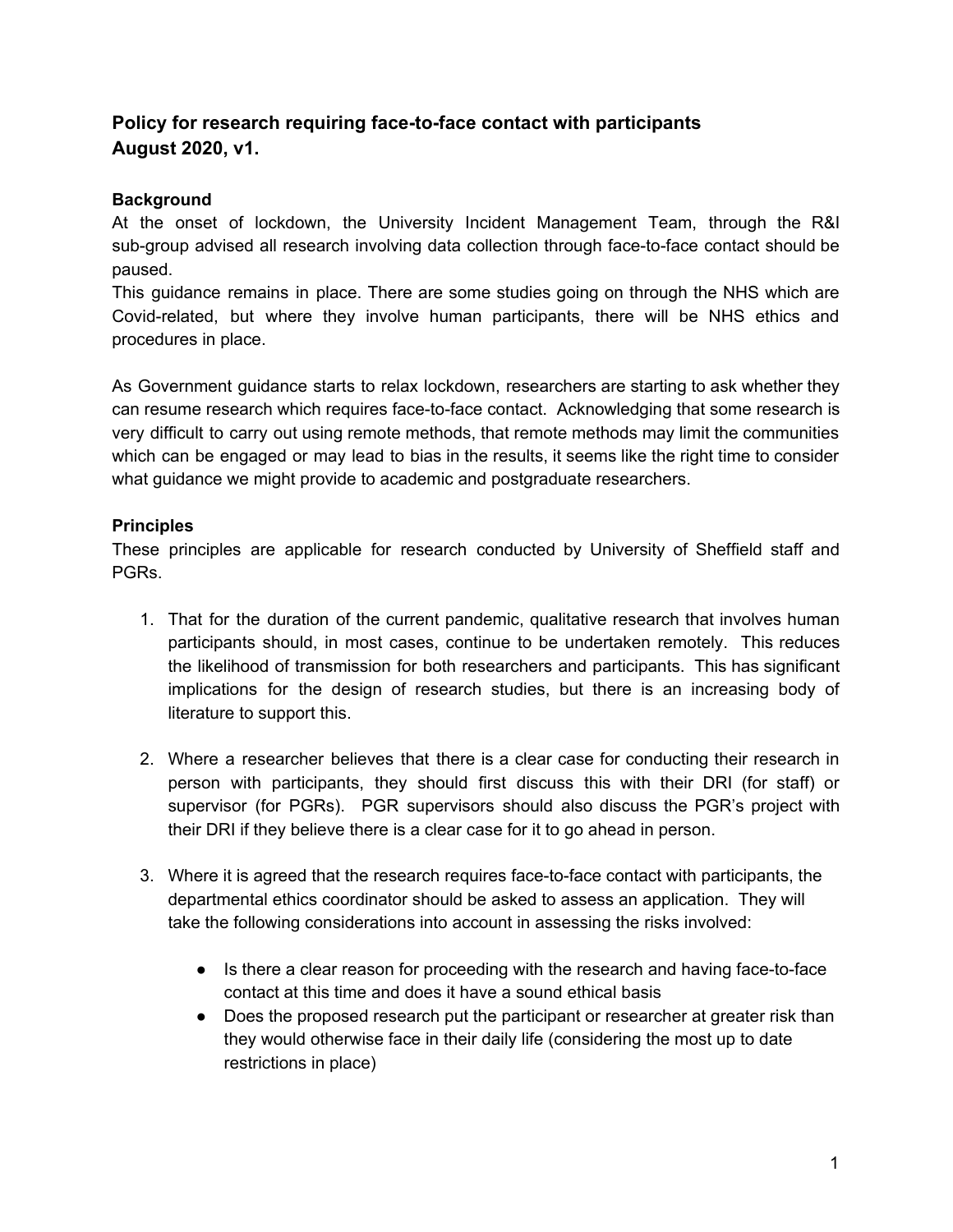## **Policy for research requiring face-to-face contact with participants August 2020, v1.**

## **Background**

At the onset of lockdown, the University Incident Management Team, through the R&I sub-group advised all research involving data collection through face-to-face contact should be paused.

This guidance remains in place. There are some studies going on through the NHS which are Covid-related, but where they involve human participants, there will be NHS ethics and procedures in place.

As Government guidance starts to relax lockdown, researchers are starting to ask whether they can resume research which requires face-to-face contact. Acknowledging that some research is very difficult to carry out using remote methods, that remote methods may limit the communities which can be engaged or may lead to bias in the results, it seems like the right time to consider what guidance we might provide to academic and postgraduate researchers.

## **Principles**

These principles are applicable for research conducted by University of Sheffield staff and PGRs.

- 1. That for the duration of the current pandemic, qualitative research that involves human participants should, in most cases, continue to be undertaken remotely. This reduces the likelihood of transmission for both researchers and participants. This has significant implications for the design of research studies, but there is an increasing body of literature to support this.
- 2. Where a researcher believes that there is a clear case for conducting their research in person with participants, they should first discuss this with their DRI (for staff) or supervisor (for PGRs). PGR supervisors should also discuss the PGR's project with their DRI if they believe there is a clear case for it to go ahead in person.
- 3. Where it is agreed that the research requires face-to-face contact with participants, the departmental ethics coordinator should be asked to assess an application. They will take the following considerations into account in assessing the risks involved:
	- Is there a clear reason for proceeding with the research and having face-to-face contact at this time and does it have a sound ethical basis
	- Does the proposed research put the participant or researcher at greater risk than they would otherwise face in their daily life (considering the most up to date restrictions in place)